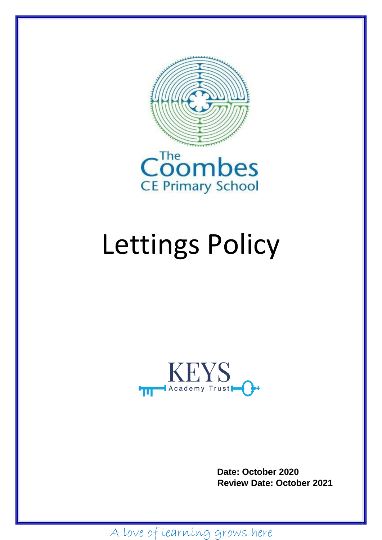



# Lettings Policy



 **Date: October 2020 Review Date: October 2021**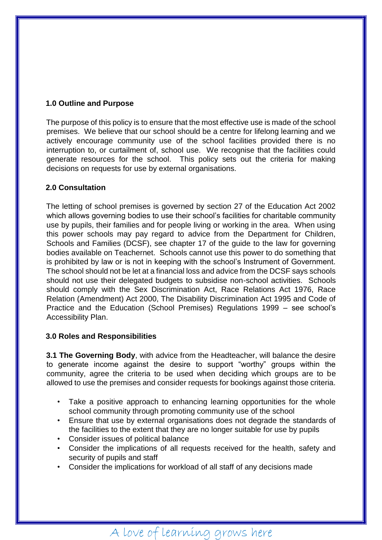#### **1.0 Outline and Purpose**

The purpose of this policy is to ensure that the most effective use is made of the school premises. We believe that our school should be a centre for lifelong learning and we actively encourage community use of the school facilities provided there is no interruption to, or curtailment of, school use. We recognise that the facilities could generate resources for the school. This policy sets out the criteria for making decisions on requests for use by external organisations.

#### **2.0 Consultation**

The letting of school premises is governed by section 27 of the Education Act 2002 which allows governing bodies to use their school's facilities for charitable community use by pupils, their families and for people living or working in the area. When using this power schools may pay regard to advice from the Department for Children, Schools and Families (DCSF), see chapter 17 of the guide to the law for governing bodies available on Teachernet. Schools cannot use this power to do something that is prohibited by law or is not in keeping with the school's Instrument of Government. The school should not be let at a financial loss and advice from the DCSF says schools should not use their delegated budgets to subsidise non-school activities. Schools should comply with the Sex Discrimination Act, Race Relations Act 1976, Race Relation (Amendment) Act 2000, The Disability Discrimination Act 1995 and Code of Practice and the Education (School Premises) Regulations 1999 – see school's Accessibility Plan.

#### **3.0 Roles and Responsibilities**

**3.1 The Governing Body**, with advice from the Headteacher, will balance the desire to generate income against the desire to support "worthy" groups within the community, agree the criteria to be used when deciding which groups are to be allowed to use the premises and consider requests for bookings against those criteria.

- Take a positive approach to enhancing learning opportunities for the whole school community through promoting community use of the school
- Ensure that use by external organisations does not degrade the standards of the facilities to the extent that they are no longer suitable for use by pupils
- Consider issues of political balance
- Consider the implications of all requests received for the health, safety and security of pupils and staff
- Consider the implications for workload of all staff of any decisions made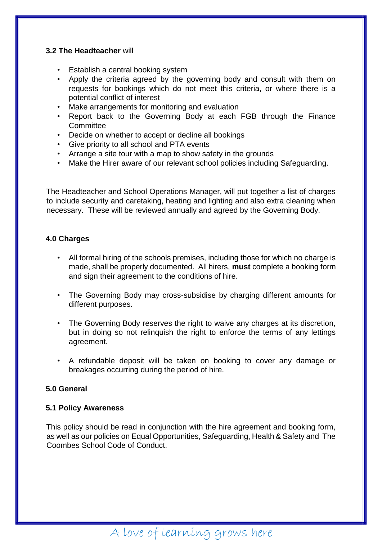#### **3.2 The Headteacher** will

- Establish a central booking system
- Apply the criteria agreed by the governing body and consult with them on requests for bookings which do not meet this criteria, or where there is a potential conflict of interest
- Make arrangements for monitoring and evaluation
- Report back to the Governing Body at each FGB through the Finance **Committee**
- Decide on whether to accept or decline all bookings
- Give priority to all school and PTA events
- Arrange a site tour with a map to show safety in the grounds
- Make the Hirer aware of our relevant school policies including Safeguarding.

The Headteacher and School Operations Manager, will put together a list of charges to include security and caretaking, heating and lighting and also extra cleaning when necessary. These will be reviewed annually and agreed by the Governing Body.

#### **4.0 Charges**

- All formal hiring of the schools premises, including those for which no charge is made, shall be properly documented. All hirers, **must** complete a booking form and sign their agreement to the conditions of hire.
- The Governing Body may cross-subsidise by charging different amounts for different purposes.
- The Governing Body reserves the right to waive any charges at its discretion, but in doing so not relinquish the right to enforce the terms of any lettings agreement.
- A refundable deposit will be taken on booking to cover any damage or breakages occurring during the period of hire.

#### **5.0 General**

#### **5.1 Policy Awareness**

This policy should be read in conjunction with the hire agreement and booking form, as well as our policies on Equal Opportunities, Safeguarding, Health & Safety and The Coombes School Code of Conduct.